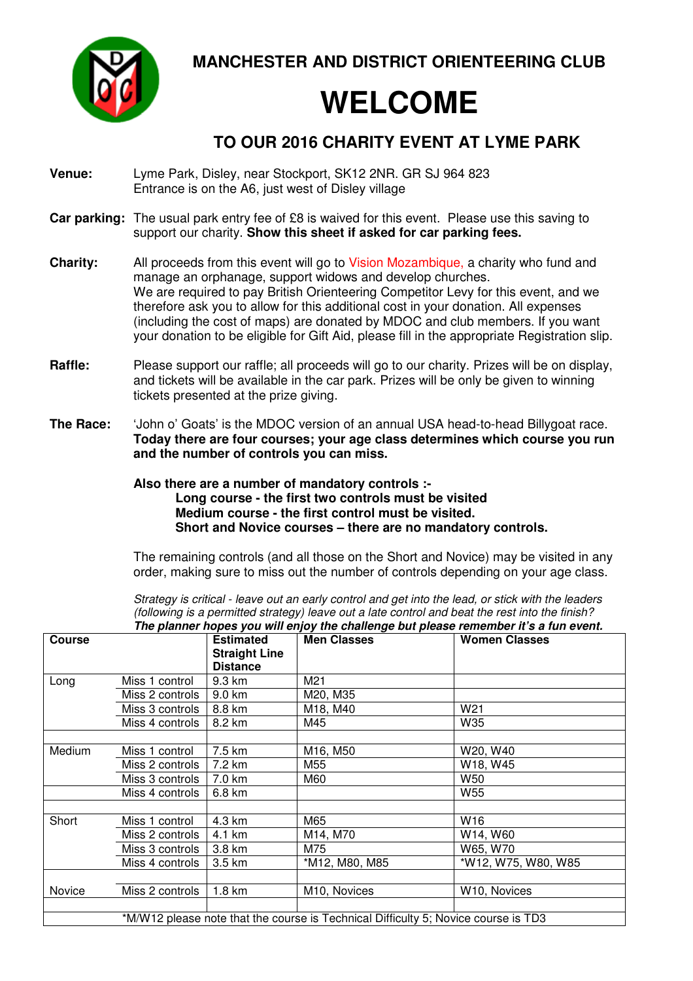**MANCHESTER AND DISTRICT ORIENTEERING CLUB** 

## **WELCOME**

## **TO OUR 2016 CHARITY EVENT AT LYME PARK**

- **Venue:** Lyme Park, Disley, near Stockport, SK12 2NR. GR SJ 964 823 Entrance is on the A6, just west of Disley village
- **Car parking:** The usual park entry fee of £8 is waived for this event. Please use this saving to support our charity. **Show this sheet if asked for car parking fees.**
- **Charity:** All proceeds from this event will go to Vision Mozambique, a charity who fund and manage an orphanage, support widows and develop churches. We are required to pay British Orienteering Competitor Levy for this event, and we therefore ask you to allow for this additional cost in your donation. All expenses (including the cost of maps) are donated by MDOC and club members. If you want your donation to be eligible for Gift Aid, please fill in the appropriate Registration slip.
- **Raffle:** Please support our raffle; all proceeds will go to our charity. Prizes will be on display, and tickets will be available in the car park. Prizes will be only be given to winning tickets presented at the prize giving.
- **The Race:** 'John o' Goats' is the MDOC version of an annual USA head-to-head Billygoat race. **Today there are four courses; your age class determines which course you run and the number of controls you can miss.**

## **Also there are a number of mandatory controls :- Long course - the first two controls must be visited Medium course - the first control must be visited. Short and Novice courses – there are no mandatory controls.**

The remaining controls (and all those on the Short and Novice) may be visited in any order, making sure to miss out the number of controls depending on your age class.

Strategy is critical - leave out an early control and get into the lead, or stick with the leaders (following is a permitted strategy) leave out a late control and beat the rest into the finish? **The planner hopes you will enjoy the challenge but please remember it's a fun event.** 

| <b>Course</b> |                 | <b>Estimated</b><br><b>Straight Line</b><br><b>Distance</b> | <b>Men Classes</b>                                                                 | <b>Women Classes</b> |
|---------------|-----------------|-------------------------------------------------------------|------------------------------------------------------------------------------------|----------------------|
| Long          | Miss 1 control  | 9.3 km                                                      | M <sub>21</sub>                                                                    |                      |
|               | Miss 2 controls | 9.0 km                                                      | M20, M35                                                                           |                      |
|               | Miss 3 controls | 8.8 km                                                      | M18, M40                                                                           | W21                  |
|               | Miss 4 controls | 8.2 km                                                      | M45                                                                                | W35                  |
|               |                 |                                                             |                                                                                    |                      |
| Medium        | Miss 1 control  | 7.5 km                                                      | M16, M50                                                                           | W20, W40             |
|               | Miss 2 controls | 7.2 km                                                      | M55                                                                                | W18, W45             |
|               | Miss 3 controls | 7.0 km                                                      | M60                                                                                | W50                  |
|               | Miss 4 controls | 6.8 km                                                      |                                                                                    | W55                  |
| Short         | Miss 1 control  | 4.3 km                                                      | M65                                                                                | W16                  |
|               | Miss 2 controls | 4.1 km                                                      | M14, M70                                                                           | W14, W60             |
|               | Miss 3 controls | 3.8 km                                                      | M75                                                                                | W65, W70             |
|               | Miss 4 controls | 3.5 km                                                      | *M12, M80, M85                                                                     | *W12, W75, W80, W85  |
|               |                 |                                                             |                                                                                    |                      |
| Novice        | Miss 2 controls | 1.8 km                                                      | M10, Novices                                                                       | W10, Novices         |
|               |                 |                                                             |                                                                                    |                      |
|               |                 |                                                             | *M/W12 please note that the course is Technical Difficulty 5; Novice course is TD3 |                      |